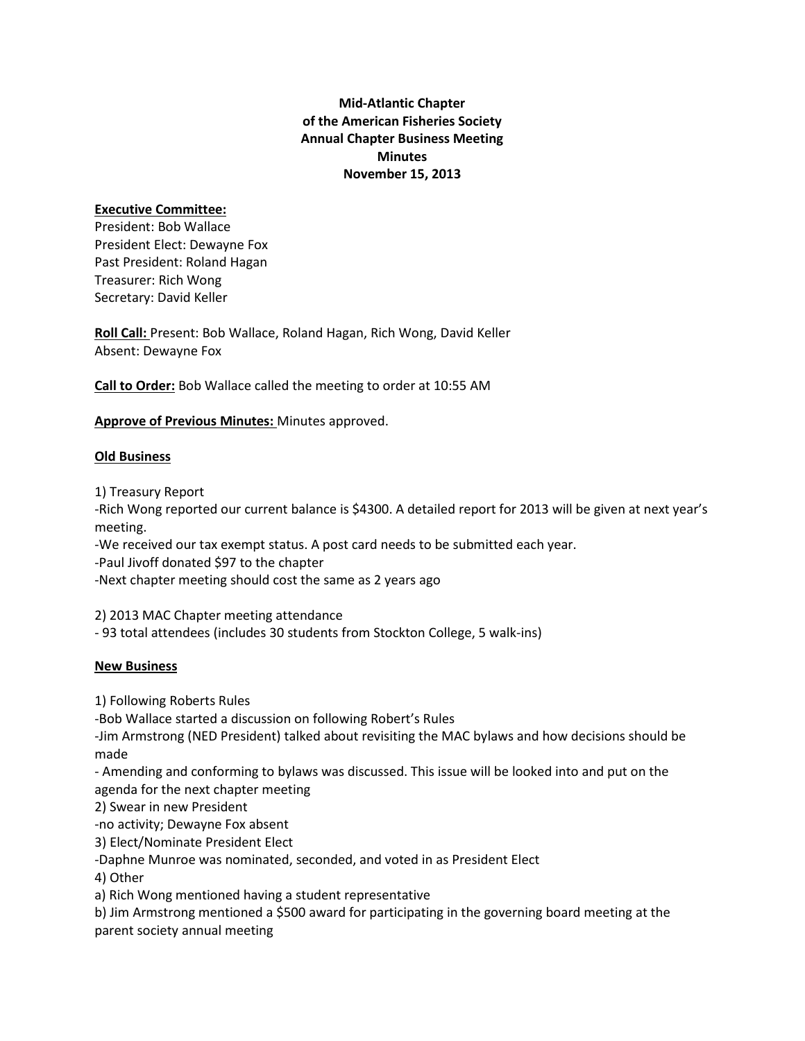# **Mid-Atlantic Chapter of the American Fisheries Society Annual Chapter Business Meeting Minutes November 15, 2013**

#### **Executive Committee:**

President: Bob Wallace President Elect: Dewayne Fox Past President: Roland Hagan Treasurer: Rich Wong Secretary: David Keller

**Roll Call:** Present: Bob Wallace, Roland Hagan, Rich Wong, David Keller Absent: Dewayne Fox

**Call to Order:** Bob Wallace called the meeting to order at 10:55 AM

### **Approve of Previous Minutes:** Minutes approved.

### **Old Business**

1) Treasury Report

-Rich Wong reported our current balance is \$4300. A detailed report for 2013 will be given at next year's meeting.

-We received our tax exempt status. A post card needs to be submitted each year.

-Paul Jivoff donated \$97 to the chapter

-Next chapter meeting should cost the same as 2 years ago

2) 2013 MAC Chapter meeting attendance

- 93 total attendees (includes 30 students from Stockton College, 5 walk-ins)

### **New Business**

1) Following Roberts Rules

-Bob Wallace started a discussion on following Robert's Rules

-Jim Armstrong (NED President) talked about revisiting the MAC bylaws and how decisions should be made

- Amending and conforming to bylaws was discussed. This issue will be looked into and put on the agenda for the next chapter meeting

2) Swear in new President

-no activity; Dewayne Fox absent

3) Elect/Nominate President Elect

-Daphne Munroe was nominated, seconded, and voted in as President Elect

4) Other

a) Rich Wong mentioned having a student representative

b) Jim Armstrong mentioned a \$500 award for participating in the governing board meeting at the parent society annual meeting